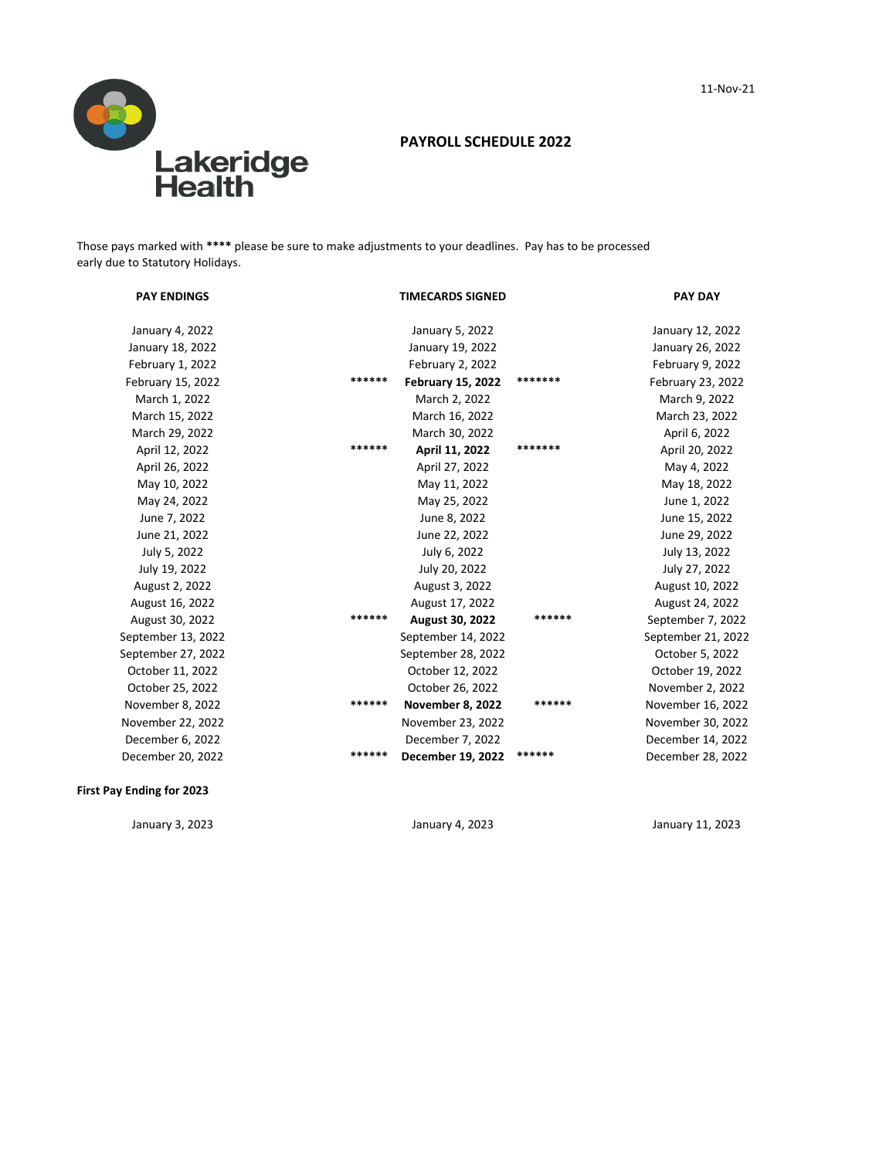

## **PAYROLL SCHEDULE 2022**

Those pays marked with **\*\*\*\*** please be sure to make adjustments to your deadlines. Pay has to be processed early due to Statutory Holidays.

| <b>PAY ENDINGS</b> |        | <b>TIMECARDS SIGNED</b>  |         | <b>PAY DAY</b>     |
|--------------------|--------|--------------------------|---------|--------------------|
| January 4, 2022    |        | January 5, 2022          |         | January 12, 2022   |
| January 18, 2022   |        | January 19, 2022         |         | January 26, 2022   |
| February 1, 2022   |        | February 2, 2022         |         | February 9, 2022   |
| February 15, 2022  | ****** | <b>February 15, 2022</b> | ******* | February 23, 2022  |
| March 1, 2022      |        | March 2, 2022            |         | March 9, 2022      |
| March 15, 2022     |        | March 16, 2022           |         | March 23, 2022     |
| March 29, 2022     |        | March 30, 2022           |         | April 6, 2022      |
| April 12, 2022     | ****** | April 11, 2022           | ******* | April 20, 2022     |
| April 26, 2022     |        | April 27, 2022           |         | May 4, 2022        |
| May 10, 2022       |        | May 11, 2022             |         | May 18, 2022       |
| May 24, 2022       |        | May 25, 2022             |         | June 1, 2022       |
| June 7, 2022       |        | June 8, 2022             |         | June 15, 2022      |
| June 21, 2022      |        | June 22, 2022            |         | June 29, 2022      |
| July 5, 2022       |        | July 6, 2022             |         | July 13, 2022      |
| July 19, 2022      |        | July 20, 2022            |         | July 27, 2022      |
| August 2, 2022     |        | August 3, 2022           |         | August 10, 2022    |
| August 16, 2022    |        | August 17, 2022          |         | August 24, 2022    |
| August 30, 2022    | ****** | August 30, 2022          | ******  | September 7, 2022  |
| September 13, 2022 |        | September 14, 2022       |         | September 21, 2022 |
| September 27, 2022 |        | September 28, 2022       |         | October 5, 2022    |
| October 11, 2022   |        | October 12, 2022         |         | October 19, 2022   |
| October 25, 2022   |        | October 26, 2022         |         | November 2, 2022   |
| November 8, 2022   | ****** | November 8, 2022         | ******  | November 16, 2022  |
| November 22, 2022  |        | November 23, 2022        |         | November 30, 2022  |
| December 6, 2022   |        | December 7, 2022         |         | December 14, 2022  |
| December 20, 2022  | ****** | December 19, 2022        | ******  | December 28, 2022  |
|                    |        |                          |         |                    |

### **First Pay Ending for 2023**

January 3, 2023 January 4, 2023 January 11, 2023